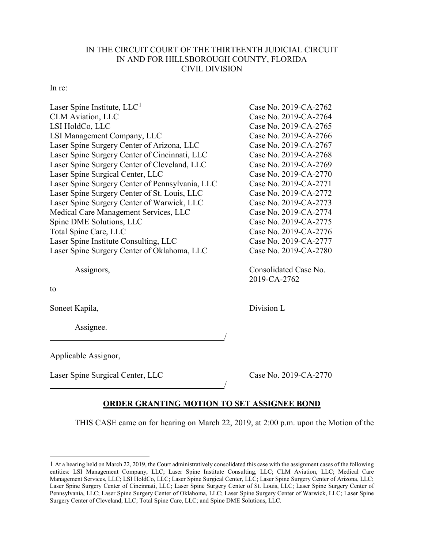## IN THE CIRCUIT COURT OF THE THIRTEENTH JUDICIAL CIRCUIT IN AND FOR HILLSBOROUGH COUNTY, FLORIDA CIVIL DIVISION

## In re:

| Laser Spine Institute, $LLC1$                   | Case No. 2019-CA-2762 |
|-------------------------------------------------|-----------------------|
| <b>CLM</b> Aviation, LLC                        | Case No. 2019-CA-2764 |
| LSI HoldCo, LLC                                 | Case No. 2019-CA-2765 |
| LSI Management Company, LLC                     | Case No. 2019-CA-2766 |
| Laser Spine Surgery Center of Arizona, LLC      | Case No. 2019-CA-2767 |
| Laser Spine Surgery Center of Cincinnati, LLC   | Case No. 2019-CA-2768 |
| Laser Spine Surgery Center of Cleveland, LLC    | Case No. 2019-CA-2769 |
| Laser Spine Surgical Center, LLC                | Case No. 2019-CA-2770 |
| Laser Spine Surgery Center of Pennsylvania, LLC | Case No. 2019-CA-2771 |
| Laser Spine Surgery Center of St. Louis, LLC    | Case No. 2019-CA-2772 |
| Laser Spine Surgery Center of Warwick, LLC      | Case No. 2019-CA-2773 |
| Medical Care Management Services, LLC           | Case No. 2019-CA-2774 |
| Spine DME Solutions, LLC                        | Case No. 2019-CA-2775 |
| Total Spine Care, LLC                           | Case No. 2019-CA-2776 |
| Laser Spine Institute Consulting, LLC           | Case No. 2019-CA-2777 |
| Laser Spine Surgery Center of Oklahoma, LLC     | Case No. 2019-CA-2780 |
|                                                 |                       |

Assignors, Consolidated Case No.

to

 $\overline{a}$ 

Soneet Kapila, Division L

Assignee.

Applicable Assignor,

Laser Spine Surgical Center, LLC Case No. 2019-CA-2770

## **ORDER GRANTING MOTION TO SET ASSIGNEE BOND**

THIS CASE came on for hearing on March 22, 2019, at 2:00 p.m. upon the Motion of the

/

/

2019-CA-2762

<sup>1</sup> At a hearing held on March 22, 2019, the Court administratively consolidated this case with the assignment cases of the following entities: LSI Management Company, LLC; Laser Spine Institute Consulting, LLC; CLM Aviation, LLC; Medical Care Management Services, LLC; LSI HoldCo, LLC; Laser Spine Surgical Center, LLC; Laser Spine Surgery Center of Arizona, LLC; Laser Spine Surgery Center of Cincinnati, LLC; Laser Spine Surgery Center of St. Louis, LLC; Laser Spine Surgery Center of Pennsylvania, LLC; Laser Spine Surgery Center of Oklahoma, LLC; Laser Spine Surgery Center of Warwick, LLC; Laser Spine Surgery Center of Cleveland, LLC; Total Spine Care, LLC; and Spine DME Solutions, LLC.